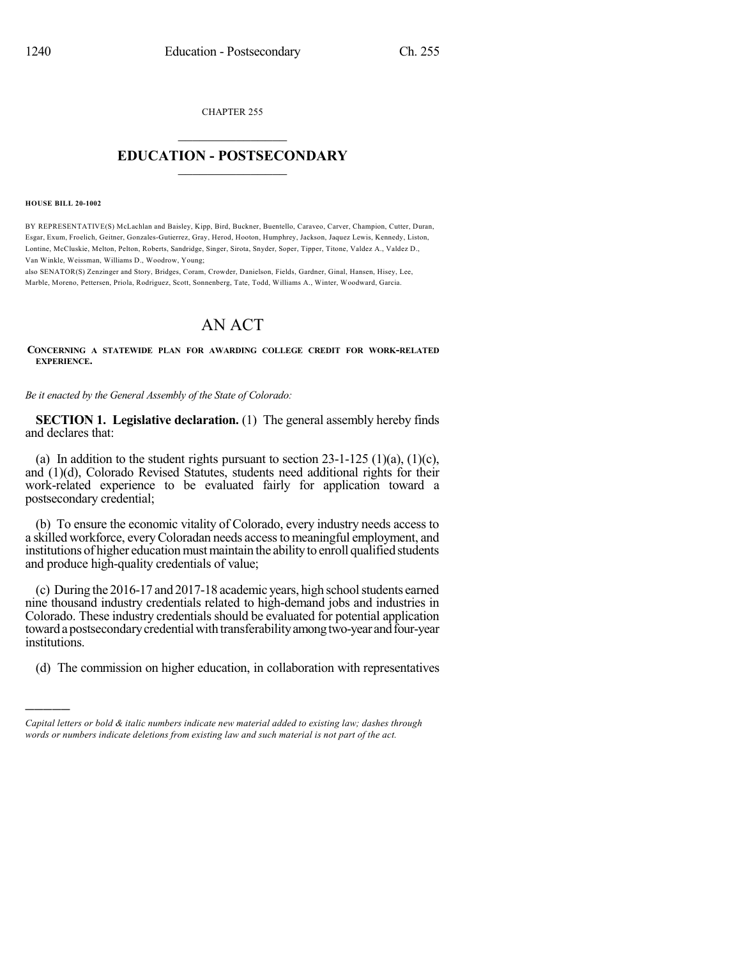CHAPTER 255

## $\mathcal{L}_\text{max}$  . The set of the set of the set of the set of the set of the set of the set of the set of the set of the set of the set of the set of the set of the set of the set of the set of the set of the set of the set **EDUCATION - POSTSECONDARY**  $\_$   $\_$   $\_$   $\_$   $\_$   $\_$   $\_$   $\_$   $\_$

**HOUSE BILL 20-1002**

)))))

BY REPRESENTATIVE(S) McLachlan and Baisley, Kipp, Bird, Buckner, Buentello, Caraveo, Carver, Champion, Cutter, Duran, Esgar, Exum, Froelich, Geitner, Gonzales-Gutierrez, Gray, Herod, Hooton, Humphrey, Jackson, Jaquez Lewis, Kennedy, Liston, Lontine, McCluskie, Melton, Pelton, Roberts, Sandridge, Singer, Sirota, Snyder, Soper, Tipper, Titone, Valdez A., Valdez D., Van Winkle, Weissman, Williams D., Woodrow, Young;

also SENATOR(S) Zenzinger and Story, Bridges, Coram, Crowder, Danielson, Fields, Gardner, Ginal, Hansen, Hisey, Lee, Marble, Moreno, Pettersen, Priola, Rodriguez, Scott, Sonnenberg, Tate, Todd, Williams A., Winter, Woodward, Garcia.

## AN ACT

**CONCERNING A STATEWIDE PLAN FOR AWARDING COLLEGE CREDIT FOR WORK-RELATED EXPERIENCE.**

*Be it enacted by the General Assembly of the State of Colorado:*

**SECTION 1. Legislative declaration.** (1) The general assembly hereby finds and declares that:

(a) In addition to the student rights pursuant to section  $23-1-125$  (1)(a), (1)(c), and (1)(d), Colorado Revised Statutes, students need additional rights for their work-related experience to be evaluated fairly for application toward a postsecondary credential;

(b) To ensure the economic vitality of Colorado, every industry needs access to a skilled workforce, everyColoradan needs accessto meaningful employment, and institutions of higher education must maintain the ability to enroll qualified students and produce high-quality credentials of value;

(c) During the 2016-17 and 2017-18 academic years, high schoolstudents earned nine thousand industry credentials related to high-demand jobs and industries in Colorado. These industry credentials should be evaluated for potential application toward a postsecondary credential with transferability among two-year and four-year institutions.

(d) The commission on higher education, in collaboration with representatives

*Capital letters or bold & italic numbers indicate new material added to existing law; dashes through words or numbers indicate deletions from existing law and such material is not part of the act.*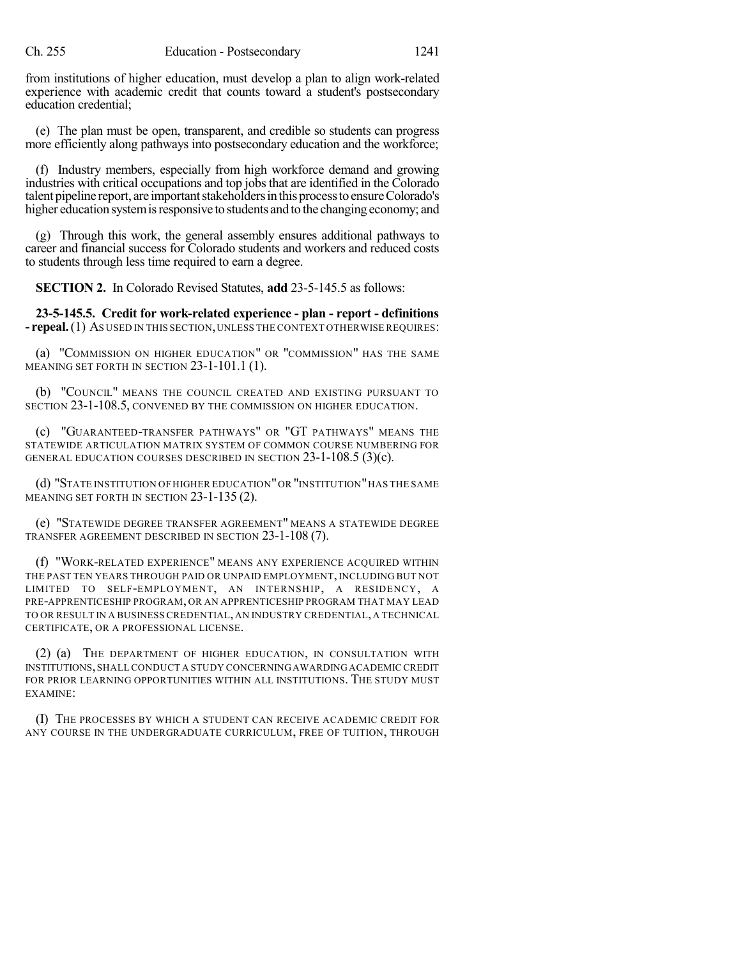from institutions of higher education, must develop a plan to align work-related experience with academic credit that counts toward a student's postsecondary education credential;

(e) The plan must be open, transparent, and credible so students can progress more efficiently along pathways into postsecondary education and the workforce;

(f) Industry members, especially from high workforce demand and growing industries with critical occupations and top jobs that are identified in the Colorado talent pipeline report, are important stakeholders in this process to ensure Colorado's higher education system is responsive to students and to the changing economy; and

(g) Through this work, the general assembly ensures additional pathways to career and financial success for Colorado students and workers and reduced costs to students through less time required to earn a degree.

**SECTION 2.** In Colorado Revised Statutes, **add** 23-5-145.5 as follows:

**23-5-145.5. Credit for work-related experience - plan - report - definitions - repeal.**(1) AS USED IN THIS SECTION,UNLESS THE CONTEXT OTHERWISE REQUIRES:

(a) "COMMISSION ON HIGHER EDUCATION" OR "COMMISSION" HAS THE SAME MEANING SET FORTH IN SECTION 23-1-101.1 (1).

(b) "COUNCIL" MEANS THE COUNCIL CREATED AND EXISTING PURSUANT TO SECTION 23-1-108.5, CONVENED BY THE COMMISSION ON HIGHER EDUCATION.

(c) "GUARANTEED-TRANSFER PATHWAYS" OR "GT PATHWAYS" MEANS THE STATEWIDE ARTICULATION MATRIX SYSTEM OF COMMON COURSE NUMBERING FOR GENERAL EDUCATION COURSES DESCRIBED IN SECTION 23-1-108.5 (3)(c).

(d) "STATE INSTITUTION OF HIGHER EDUCATION"OR "INSTITUTION"HAS THE SAME MEANING SET FORTH IN SECTION 23-1-135 (2).

(e) "STATEWIDE DEGREE TRANSFER AGREEMENT" MEANS A STATEWIDE DEGREE TRANSFER AGREEMENT DESCRIBED IN SECTION 23-1-108 (7).

(f) "WORK-RELATED EXPERIENCE" MEANS ANY EXPERIENCE ACQUIRED WITHIN THE PAST TEN YEARS THROUGH PAID OR UNPAID EMPLOYMENT, INCLUDING BUT NOT LIMITED TO SELF-EMPLOYMENT, AN INTERNSHIP, A RESIDENCY, A PRE-APPRENTICESHIP PROGRAM, OR AN APPRENTICESHIP PROGRAM THAT MAY LEAD TO OR RESULT IN A BUSINESS CREDENTIAL, AN INDUSTRY CREDENTIAL, A TECHNICAL CERTIFICATE, OR A PROFESSIONAL LICENSE.

(2) (a) THE DEPARTMENT OF HIGHER EDUCATION, IN CONSULTATION WITH INSTITUTIONS,SHALL CONDUCT A STUDY CONCERNINGAWARDINGACADEMIC CREDIT FOR PRIOR LEARNING OPPORTUNITIES WITHIN ALL INSTITUTIONS. THE STUDY MUST EXAMINE:

(I) THE PROCESSES BY WHICH A STUDENT CAN RECEIVE ACADEMIC CREDIT FOR ANY COURSE IN THE UNDERGRADUATE CURRICULUM, FREE OF TUITION, THROUGH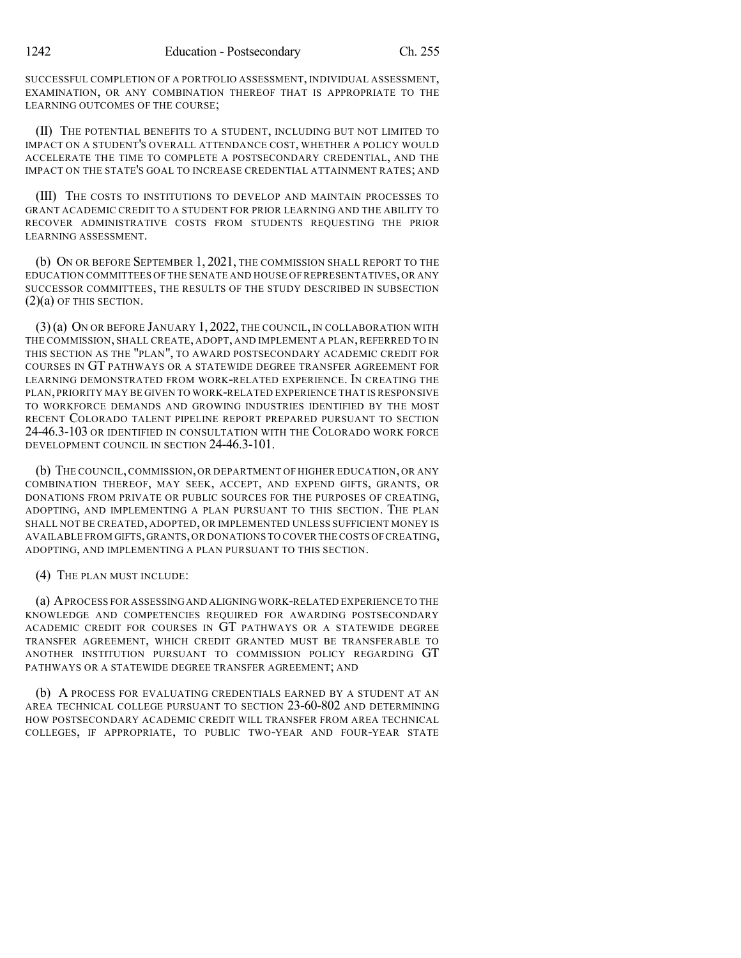SUCCESSFUL COMPLETION OF A PORTFOLIO ASSESSMENT, INDIVIDUAL ASSESSMENT, EXAMINATION, OR ANY COMBINATION THEREOF THAT IS APPROPRIATE TO THE LEARNING OUTCOMES OF THE COURSE;

(II) THE POTENTIAL BENEFITS TO A STUDENT, INCLUDING BUT NOT LIMITED TO IMPACT ON A STUDENT'S OVERALL ATTENDANCE COST, WHETHER A POLICY WOULD ACCELERATE THE TIME TO COMPLETE A POSTSECONDARY CREDENTIAL, AND THE IMPACT ON THE STATE'S GOAL TO INCREASE CREDENTIAL ATTAINMENT RATES; AND

(III) THE COSTS TO INSTITUTIONS TO DEVELOP AND MAINTAIN PROCESSES TO GRANT ACADEMIC CREDIT TO A STUDENT FOR PRIOR LEARNING AND THE ABILITY TO RECOVER ADMINISTRATIVE COSTS FROM STUDENTS REQUESTING THE PRIOR LEARNING ASSESSMENT.

(b) ON OR BEFORE SEPTEMBER 1, 2021, THE COMMISSION SHALL REPORT TO THE EDUCATION COMMITTEES OF THE SENATE AND HOUSE OF REPRESENTATIVES, OR ANY SUCCESSOR COMMITTEES, THE RESULTS OF THE STUDY DESCRIBED IN SUBSECTION  $(2)(a)$  OF THIS SECTION.

(3)(a) ON OR BEFORE JANUARY 1, 2022, THE COUNCIL, IN COLLABORATION WITH THE COMMISSION, SHALL CREATE, ADOPT, AND IMPLEMENT A PLAN, REFERRED TO IN THIS SECTION AS THE "PLAN", TO AWARD POSTSECONDARY ACADEMIC CREDIT FOR COURSES IN GT PATHWAYS OR A STATEWIDE DEGREE TRANSFER AGREEMENT FOR LEARNING DEMONSTRATED FROM WORK-RELATED EXPERIENCE. IN CREATING THE PLAN, PRIORITY MAY BE GIVEN TO WORK-RELATED EXPERIENCE THAT IS RESPONSIVE TO WORKFORCE DEMANDS AND GROWING INDUSTRIES IDENTIFIED BY THE MOST RECENT COLORADO TALENT PIPELINE REPORT PREPARED PURSUANT TO SECTION 24-46.3-103 OR IDENTIFIED IN CONSULTATION WITH THE COLORADO WORK FORCE DEVELOPMENT COUNCIL IN SECTION 24-46.3-101.

(b) THE COUNCIL,COMMISSION, OR DEPARTMENT OF HIGHER EDUCATION, OR ANY COMBINATION THEREOF, MAY SEEK, ACCEPT, AND EXPEND GIFTS, GRANTS, OR DONATIONS FROM PRIVATE OR PUBLIC SOURCES FOR THE PURPOSES OF CREATING, ADOPTING, AND IMPLEMENTING A PLAN PURSUANT TO THIS SECTION. THE PLAN SHALL NOT BE CREATED, ADOPTED, OR IMPLEMENTED UNLESS SUFFICIENT MONEY IS AVAILABLE FROM GIFTS,GRANTS,OR DONATIONS TO COVER THE COSTS OFCREATING, ADOPTING, AND IMPLEMENTING A PLAN PURSUANT TO THIS SECTION.

(4) THE PLAN MUST INCLUDE:

(a) APROCESS FOR ASSESSINGAND ALIGNING WORK-RELATED EXPERIENCE TO THE KNOWLEDGE AND COMPETENCIES REQUIRED FOR AWARDING POSTSECONDARY ACADEMIC CREDIT FOR COURSES IN GT PATHWAYS OR A STATEWIDE DEGREE TRANSFER AGREEMENT, WHICH CREDIT GRANTED MUST BE TRANSFERABLE TO ANOTHER INSTITUTION PURSUANT TO COMMISSION POLICY REGARDING GT PATHWAYS OR A STATEWIDE DEGREE TRANSFER AGREEMENT; AND

(b) A PROCESS FOR EVALUATING CREDENTIALS EARNED BY A STUDENT AT AN AREA TECHNICAL COLLEGE PURSUANT TO SECTION 23-60-802 AND DETERMINING HOW POSTSECONDARY ACADEMIC CREDIT WILL TRANSFER FROM AREA TECHNICAL COLLEGES, IF APPROPRIATE, TO PUBLIC TWO-YEAR AND FOUR-YEAR STATE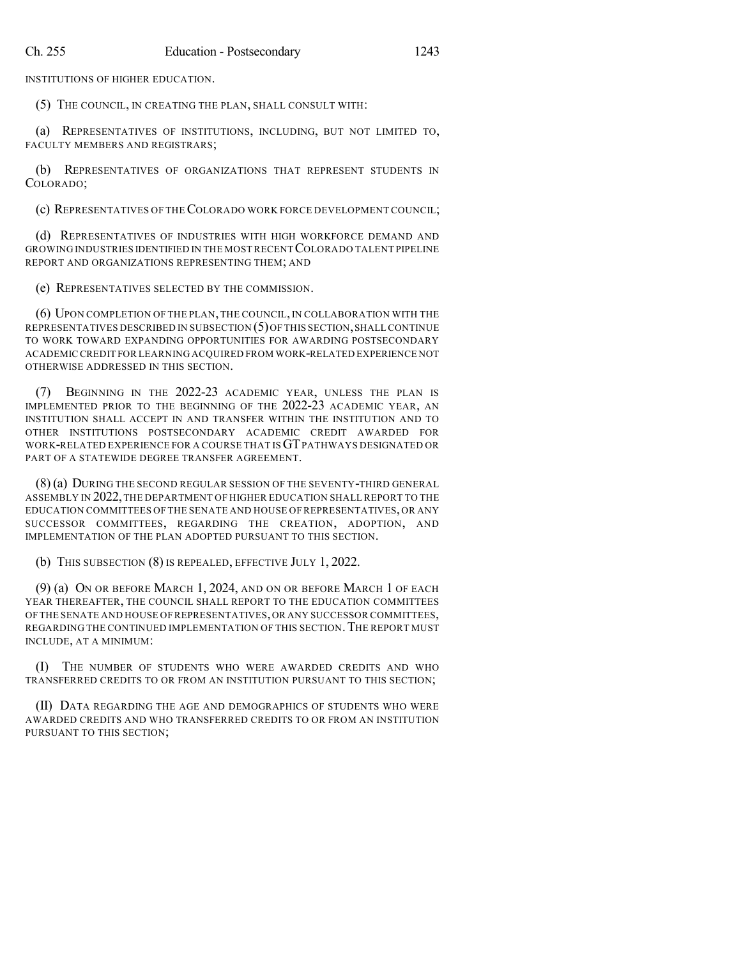INSTITUTIONS OF HIGHER EDUCATION.

(5) THE COUNCIL, IN CREATING THE PLAN, SHALL CONSULT WITH:

(a) REPRESENTATIVES OF INSTITUTIONS, INCLUDING, BUT NOT LIMITED TO, FACULTY MEMBERS AND REGISTRARS;

(b) REPRESENTATIVES OF ORGANIZATIONS THAT REPRESENT STUDENTS IN COLORADO;

(c) REPRESENTATIVES OF THECOLORADO WORK FORCE DEVELOPMENT COUNCIL;

(d) REPRESENTATIVES OF INDUSTRIES WITH HIGH WORKFORCE DEMAND AND GROWING INDUSTRIES IDENTIFIED IN THE MOST RECENT COLORADO TALENT PIPELINE REPORT AND ORGANIZATIONS REPRESENTING THEM; AND

(e) REPRESENTATIVES SELECTED BY THE COMMISSION.

(6) UPON COMPLETION OF THE PLAN,THE COUNCIL, IN COLLABORATION WITH THE REPRESENTATIVES DESCRIBED IN SUBSECTION (5)OF THIS SECTION,SHALL CONTINUE TO WORK TOWARD EXPANDING OPPORTUNITIES FOR AWARDING POSTSECONDARY ACADEMIC CREDIT FOR LEARNING ACQUIRED FROM WORK-RELATED EXPERIENCE NOT OTHERWISE ADDRESSED IN THIS SECTION.

(7) BEGINNING IN THE 2022-23 ACADEMIC YEAR, UNLESS THE PLAN IS IMPLEMENTED PRIOR TO THE BEGINNING OF THE 2022-23 ACADEMIC YEAR, AN INSTITUTION SHALL ACCEPT IN AND TRANSFER WITHIN THE INSTITUTION AND TO OTHER INSTITUTIONS POSTSECONDARY ACADEMIC CREDIT AWARDED FOR WORK-RELATED EXPERIENCE FOR A COURSE THAT ISGTPATHWAYS DESIGNATED OR PART OF A STATEWIDE DEGREE TRANSFER AGREEMENT.

(8) (a) DURING THE SECOND REGULAR SESSION OF THE SEVENTY-THIRD GENERAL ASSEMBLY IN 2022,THE DEPARTMENT OF HIGHER EDUCATION SHALL REPORT TO THE EDUCATION COMMITTEES OF THE SENATE AND HOUSE OF REPRESENTATIVES, OR ANY SUCCESSOR COMMITTEES, REGARDING THE CREATION, ADOPTION, AND IMPLEMENTATION OF THE PLAN ADOPTED PURSUANT TO THIS SECTION.

(b) THIS SUBSECTION (8) IS REPEALED, EFFECTIVE JULY 1, 2022.

(9) (a) ON OR BEFORE MARCH 1, 2024, AND ON OR BEFORE MARCH 1 OF EACH YEAR THEREAFTER, THE COUNCIL SHALL REPORT TO THE EDUCATION COMMITTEES OF THE SENATE AND HOUSE OF REPRESENTATIVES,OR ANY SUCCESSOR COMMITTEES, REGARDING THE CONTINUED IMPLEMENTATION OF THIS SECTION. THE REPORT MUST INCLUDE, AT A MINIMUM:

(I) THE NUMBER OF STUDENTS WHO WERE AWARDED CREDITS AND WHO TRANSFERRED CREDITS TO OR FROM AN INSTITUTION PURSUANT TO THIS SECTION;

(II) DATA REGARDING THE AGE AND DEMOGRAPHICS OF STUDENTS WHO WERE AWARDED CREDITS AND WHO TRANSFERRED CREDITS TO OR FROM AN INSTITUTION PURSUANT TO THIS SECTION;